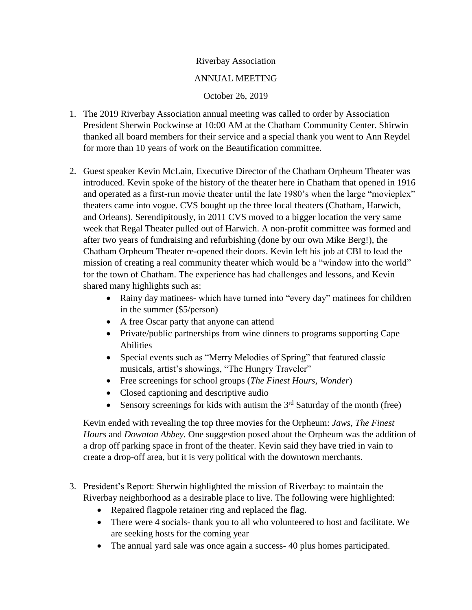## Riverbay Association

## ANNUAL MEETING

## October 26, 2019

- 1. The 2019 Riverbay Association annual meeting was called to order by Association President Sherwin Pockwinse at 10:00 AM at the Chatham Community Center. Shirwin thanked all board members for their service and a special thank you went to Ann Reydel for more than 10 years of work on the Beautification committee.
- 2. Guest speaker Kevin McLain, Executive Director of the Chatham Orpheum Theater was introduced. Kevin spoke of the history of the theater here in Chatham that opened in 1916 and operated as a first-run movie theater until the late 1980's when the large "movieplex" theaters came into vogue. CVS bought up the three local theaters (Chatham, Harwich, and Orleans). Serendipitously, in 2011 CVS moved to a bigger location the very same week that Regal Theater pulled out of Harwich. A non-profit committee was formed and after two years of fundraising and refurbishing (done by our own Mike Berg!), the Chatham Orpheum Theater re-opened their doors. Kevin left his job at CBI to lead the mission of creating a real community theater which would be a "window into the world" for the town of Chatham. The experience has had challenges and lessons, and Kevin shared many highlights such as:
	- Rainy day matinees- which have turned into "every day" matinees for children in the summer (\$5/person)
	- A free Oscar party that anyone can attend
	- Private/public partnerships from wine dinners to programs supporting Cape Abilities
	- Special events such as "Merry Melodies of Spring" that featured classic musicals, artist's showings, "The Hungry Traveler"
	- Free screenings for school groups (*The Finest Hours, Wonder*)
	- Closed captioning and descriptive audio
	- Sensory screenings for kids with autism the  $3<sup>rd</sup>$  Saturday of the month (free)

Kevin ended with revealing the top three movies for the Orpheum: *Jaws, The Finest Hours* and *Downton Abbey.* One suggestion posed about the Orpheum was the addition of a drop off parking space in front of the theater. Kevin said they have tried in vain to create a drop-off area, but it is very political with the downtown merchants.

- 3. President's Report: Sherwin highlighted the mission of Riverbay: to maintain the Riverbay neighborhood as a desirable place to live. The following were highlighted:
	- Repaired flagpole retainer ring and replaced the flag.
	- There were 4 socials- thank you to all who volunteered to host and facilitate. We are seeking hosts for the coming year
	- The annual yard sale was once again a success- 40 plus homes participated.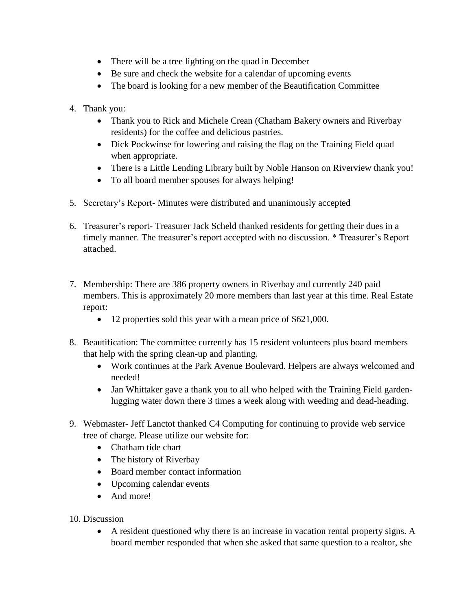- There will be a tree lighting on the quad in December
- Be sure and check the website for a calendar of upcoming events
- The board is looking for a new member of the Beautification Committee
- 4. Thank you:
	- Thank you to Rick and Michele Crean (Chatham Bakery owners and Riverbay residents) for the coffee and delicious pastries.
	- Dick Pockwinse for lowering and raising the flag on the Training Field quad when appropriate.
	- There is a Little Lending Library built by Noble Hanson on Riverview thank you!
	- To all board member spouses for always helping!
- 5. Secretary's Report- Minutes were distributed and unanimously accepted
- 6. Treasurer's report- Treasurer Jack Scheld thanked residents for getting their dues in a timely manner. The treasurer's report accepted with no discussion. \* Treasurer's Report attached.
- 7. Membership: There are 386 property owners in Riverbay and currently 240 paid members. This is approximately 20 more members than last year at this time. Real Estate report:
	- 12 properties sold this year with a mean price of \$621,000.
- 8. Beautification: The committee currently has 15 resident volunteers plus board members that help with the spring clean-up and planting.
	- Work continues at the Park Avenue Boulevard. Helpers are always welcomed and needed!
	- Jan Whittaker gave a thank you to all who helped with the Training Field gardenlugging water down there 3 times a week along with weeding and dead-heading.
- 9. Webmaster- Jeff Lanctot thanked C4 Computing for continuing to provide web service free of charge. Please utilize our website for:
	- Chatham tide chart
	- The history of Riverbay
	- Board member contact information
	- Upcoming calendar events
	- And more!
- 10. Discussion
	- A resident questioned why there is an increase in vacation rental property signs. A board member responded that when she asked that same question to a realtor, she